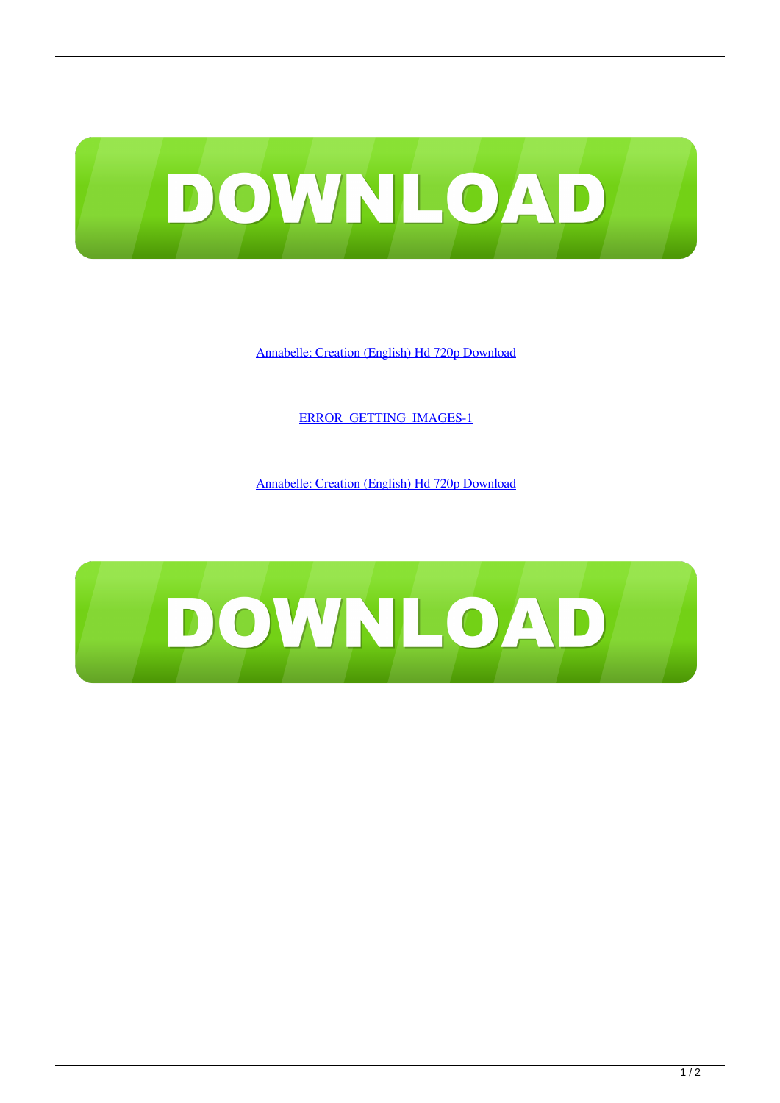

[Annabelle: Creation \(English\) Hd 720p Download](http://imgfil.com/17jcwr)

[ERROR\\_GETTING\\_IMAGES-1](http://imgfil.com/17jcwr)

[Annabelle: Creation \(English\) Hd 720p Download](http://imgfil.com/17jcwr)